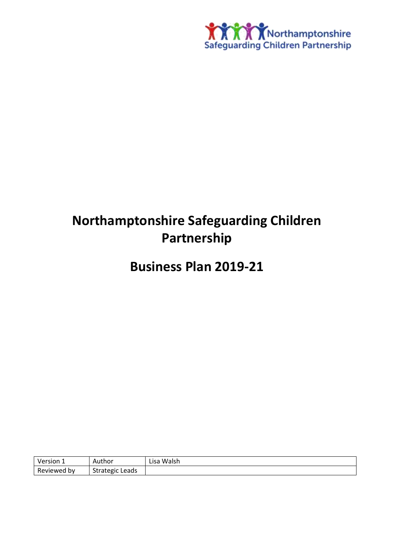

# **Northamptonshire Safeguarding Children Partnership**

# **Business Plan 2019-21**

| Version $\overline{ }$ | Author                                       | Walsh<br>∟isa ' |
|------------------------|----------------------------------------------|-----------------|
| Reviewed by            | Leads<br>$+$ $  -$<br>,,,,,<br>ι υπαιτεις με |                 |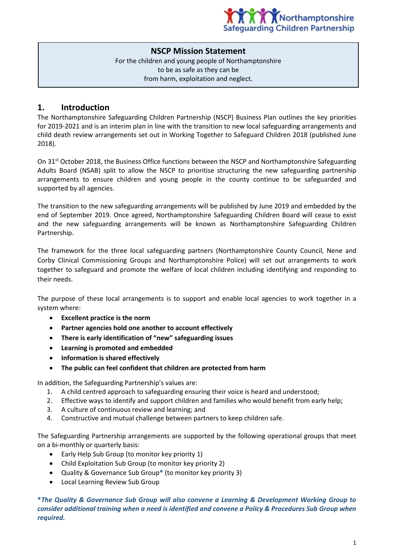

#### **NSCP Mission Statement**

For the children and young people of Northamptonshire to be as safe as they can be from harm, exploitation and neglect.

#### **1. Introduction**

The Northamptonshire Safeguarding Children Partnership (NSCP) Business Plan outlines the key priorities for 2019-2021 and is an interim plan in line with the transition to new local safeguarding arrangements and child death review arrangements set out in Working Together to Safeguard Children 2018 (published June 2018).

On 31<sup>st</sup> October 2018, the Business Office functions between the NSCP and Northamptonshire Safeguarding Adults Board (NSAB) split to allow the NSCP to prioritise structuring the new safeguarding partnership arrangements to ensure children and young people in the county continue to be safeguarded and supported by all agencies.

The transition to the new safeguarding arrangements will be published by June 2019 and embedded by the end of September 2019. Once agreed, Northamptonshire Safeguarding Children Board will cease to exist and the new safeguarding arrangements will be known as Northamptonshire Safeguarding Children Partnership.

The framework for the three local safeguarding partners (Northamptonshire County Council, Nene and Corby Clinical Commissioning Groups and Northamptonshire Police) will set out arrangements to work together to safeguard and promote the welfare of local children including identifying and responding to their needs.

The purpose of these local arrangements is to support and enable local agencies to work together in a system where:

- **Excellent practice is the norm**
- **Partner agencies hold one another to account effectively**
- **There is early identification of "new" safeguarding issues**
- **Learning is promoted and embedded**
- **Information is shared effectively**
- **The public can feel confident that children are protected from harm**

In addition, the Safeguarding Partnership's values are:

- 1. A child centred approach to safeguarding ensuring their voice is heard and understood;
- 2. Effective ways to identify and support children and families who would benefit from early help;
- 3. A culture of continuous review and learning; and
- 4. Constructive and mutual challenge between partners to keep children safe.

The Safeguarding Partnership arrangements are supported by the following operational groups that meet on a bi-monthly or quarterly basis:

- Early Help Sub Group (to monitor key priority 1)
- Child Exploitation Sub Group (to monitor key priority 2)
- Quality & Governance Sub Group**\*** (to monitor key priority 3)
- Local Learning Review Sub Group

**\****The Quality & Governance Sub Group will also convene a Learning & Development Working Group to consider additional training when a need is identified and convene a Policy & Procedures Sub Group when required.*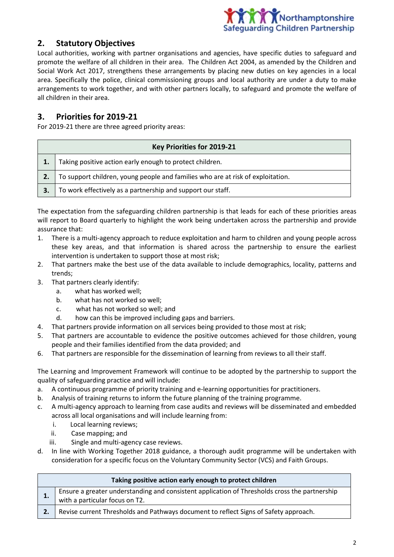

### **2. Statutory Objectives**

Local authorities, working with partner organisations and agencies, have specific duties to safeguard and promote the welfare of all children in their area. The Children Act 2004, as amended by the Children and Social Work Act 2017, strengthens these arrangements by placing new duties on key agencies in a local area. Specifically the police, clinical commissioning groups and local authority are under a duty to make arrangements to work together, and with other partners locally, to safeguard and promote the welfare of all children in their area.

## **3. Priorities for 2019-21**

For 2019-21 there are three agreed priority areas:

| Key Priorities for 2019-21 |                                                                                 |
|----------------------------|---------------------------------------------------------------------------------|
|                            | Taking positive action early enough to protect children.                        |
|                            | To support children, young people and families who are at risk of exploitation. |
| 3.                         | To work effectively as a partnership and support our staff.                     |

The expectation from the safeguarding children partnership is that leads for each of these priorities areas will report to Board quarterly to highlight the work being undertaken across the partnership and provide assurance that:

- 1. There is a multi-agency approach to reduce exploitation and harm to children and young people across these key areas, and that information is shared across the partnership to ensure the earliest intervention is undertaken to support those at most risk;
- 2. That partners make the best use of the data available to include demographics, locality, patterns and trends;
- 3. That partners clearly identify:
	- a. what has worked well;
	- b. what has not worked so well;
	- c. what has not worked so well; and
	- d. how can this be improved including gaps and barriers.
- 4. That partners provide information on all services being provided to those most at risk;
- 5. That partners are accountable to evidence the positive outcomes achieved for those children, young people and their families identified from the data provided; and
- 6. That partners are responsible for the dissemination of learning from reviews to all their staff.

The Learning and Improvement Framework will continue to be adopted by the partnership to support the quality of safeguarding practice and will include:

- a. A continuous programme of priority training and e-learning opportunities for practitioners.
- b. Analysis of training returns to inform the future planning of the training programme.
- c. A multi-agency approach to learning from case audits and reviews will be disseminated and embedded across all local organisations and will include learning from:
	- i. Local learning reviews;
	- ii. Case mapping; and
	- iii. Single and multi-agency case reviews.
- d. In line with Working Together 2018 guidance, a thorough audit programme will be undertaken with consideration for a specific focus on the Voluntary Community Sector (VCS) and Faith Groups.

| Taking positive action early enough to protect children |                                                                                                                                 |  |
|---------------------------------------------------------|---------------------------------------------------------------------------------------------------------------------------------|--|
|                                                         | Ensure a greater understanding and consistent application of Thresholds cross the partnership<br>with a particular focus on T2. |  |
|                                                         | Revise current Thresholds and Pathways document to reflect Signs of Safety approach.                                            |  |